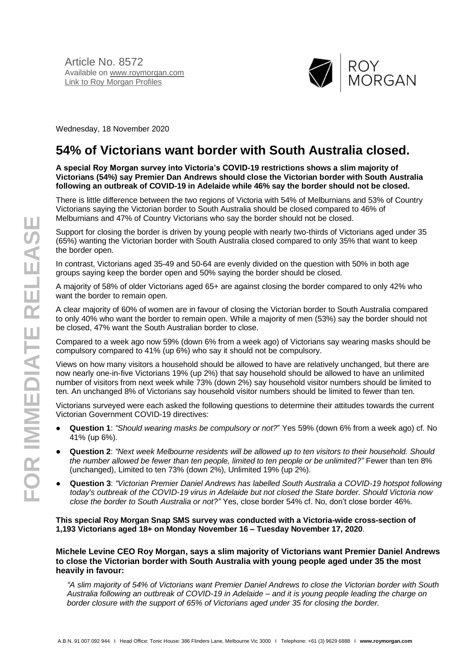

Wednesday, 18 November 2020

# **54% of Victorians want border with South Australia closed.**

**A special Roy Morgan survey into Victoria's COVID-19 restrictions shows a slim majority of Victorians (54%) say Premier Dan Andrews should close the Victorian border with South Australia following an outbreak of COVID-19 in Adelaide while 46% say the border should not be closed.**

There is little difference between the two regions of Victoria with 54% of Melburnians and 53% of Country Victorians saying the Victorian border to South Australia should be closed compared to 46% of Melburnians and 47% of Country Victorians who say the border should not be closed.

Support for closing the border is driven by young people with nearly two-thirds of Victorians aged under 35 (65%) wanting the Victorian border with South Australia closed compared to only 35% that want to keep the border open.

In contrast, Victorians aged 35-49 and 50-64 are evenly divided on the question with 50% in both age groups saying keep the border open and 50% saying the border should be closed.

A majority of 58% of older Victorians aged 65+ are against closing the border compared to only 42% who want the border to remain open.

A clear majority of 60% of women are in favour of closing the Victorian border to South Australia compared to only 40% who want the border to remain open. While a majority of men (53%) say the border should not be closed, 47% want the South Australian border to close.

Compared to a week ago now 59% (down 6% from a week ago) of Victorians say wearing masks should be compulsory compared to 41% (up 6%) who say it should not be compulsory.

Views on how many visitors a household should be allowed to have are relatively unchanged, but there are now nearly one-in-five Victorians 19% (up 2%) that say household should be allowed to have an unlimited number of visitors from next week while 73% (down 2%) say household visitor numbers should be limited to ten. An unchanged 8% of Victorians say household visitor numbers should be limited to fewer than ten.

Victorians surveyed were each asked the following questions to determine their attitudes towards the current Victorian Government COVID-19 directives:

- **Question 1**: *"Should wearing masks be compulsory or not?*" Yes 59% (down 6% from a week ago) cf. No 41% (up 6%).
- **Question 2**: *"Next week Melbourne residents will be allowed up to ten visitors to their household. Should the number allowed be fewer than ten people, limited to ten people or be unlimited?"* Fewer than ten 8% (unchanged), Limited to ten 73% (down 2%), Unlimited 19% (up 2%).
- **Question 3**: *"Victorian Premier Daniel Andrews has labelled South Australia a COVID-19 hotspot following today's outbreak of the COVID-19 virus in Adelaide but not closed the State border. Should Victoria now close the border to South Australia or not?"* Yes, close border 54% cf. No, don't close border 46%.

**This special Roy Morgan Snap SMS survey was conducted with a Victoria-wide cross-section of 1,193 Victorians aged 18+ on Monday November 16 – Tuesday November 17, 2020**.

**Michele Levine CEO Roy Morgan, says a slim majority of Victorians want Premier Daniel Andrews to close the Victorian border with South Australia with young people aged under 35 the most heavily in favour:**

*"A slim majority of 54% of Victorians want Premier Daniel Andrews to close the Victorian border with South Australia following an outbreak of COVID-19 in Adelaide – and it is young people leading the charge on border closure with the support of 65% of Victorians aged under 35 for closing the border.*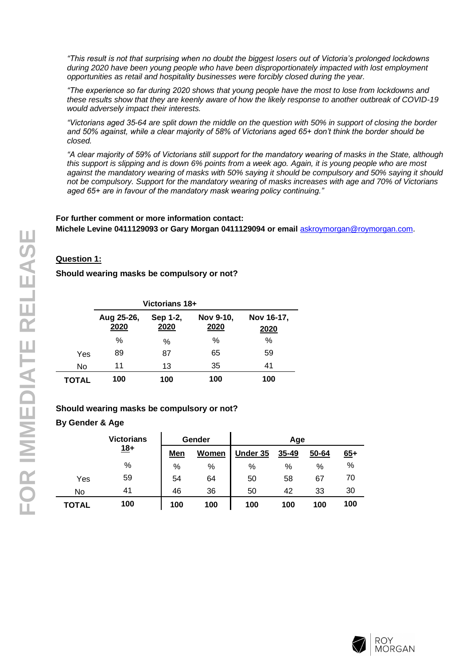*"This result is not that surprising when no doubt the biggest losers out of Victoria's prolonged lockdowns during 2020 have been young people who have been disproportionately impacted with lost employment opportunities as retail and hospitality businesses were forcibly closed during the year.*

*"The experience so far during 2020 shows that young people have the most to lose from lockdowns and these results show that they are keenly aware of how the likely response to another outbreak of COVID-19 would adversely impact their interests.*

*"Victorians aged 35-64 are split down the middle on the question with 50% in support of closing the border and 50% against, while a clear majority of 58% of Victorians aged 65+ don't think the border should be closed.*

*"A clear majority of 59% of Victorians still support for the mandatory wearing of masks in the State, although this support is slipping and is down 6% points from a week ago. Again, it is young people who are most against the mandatory wearing of masks with 50% saying it should be compulsory and 50% saying it should not be compulsory. Support for the mandatory wearing of masks increases with age and 70% of Victorians aged 65+ are in favour of the mandatory mask wearing policy continuing."*

#### **For further comment or more information contact:**

**Michele Levine 0411129093 or Gary Morgan 0411129094 or email** [askroymorgan@roymorgan.com](mailto:askroymorgan@roymorgan.com).

## **Question 1:**

**Should wearing masks be compulsory or not?**

|       | Victorians 18+     |                  |                   |                    |
|-------|--------------------|------------------|-------------------|--------------------|
|       | Aug 25-26,<br>2020 | Sep 1-2,<br>2020 | Nov 9-10,<br>2020 | Nov 16-17,<br>2020 |
|       | %                  | $\%$             | $\%$              | %                  |
| Yes   | 89                 | 87               | 65                | 59                 |
| No    | 11                 | 13               | 35                | 41                 |
| TOTAL | 100                | 100              | 100               | 100                |

## **Should wearing masks be compulsory or not?**

## **By Gender & Age**

|       | <b>Victorians</b> |            | Gender       | Age      |       |       |       |
|-------|-------------------|------------|--------------|----------|-------|-------|-------|
|       | <u> 18+</u>       | <b>Men</b> | <b>Women</b> | Under 35 | 35-49 | 50-64 | $65+$ |
|       | %                 | %          | %            | %        | %     | %     | %     |
| Yes   | 59                | 54         | 64           | 50       | 58    | 67    | 70    |
| No    | 41                | 46         | 36           | 50       | 42    | 33    | 30    |
| TOTAL | 100               | 100        | 100          | 100      | 100   | 100   | 100   |

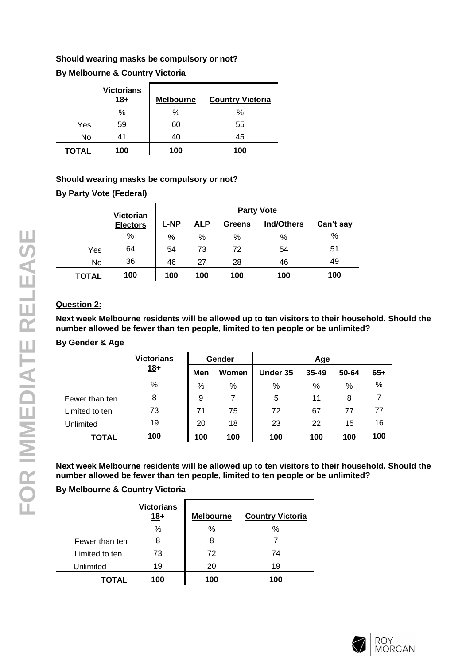## **Should wearing masks be compulsory or not?**

## **By Melbourne & Country Victoria**

|       | <b>Victorians</b><br>$18+$ | <b>Melbourne</b> | <b>Country Victoria</b> |
|-------|----------------------------|------------------|-------------------------|
|       | %                          | %                | %                       |
| Yes   | 59                         | 60               | 55                      |
| No    | 41                         | 40               | 45                      |
| TOTAL | 100                        | 100              | 100                     |

## **Should wearing masks be compulsory or not?**

**By Party Vote (Federal)**

|              | Victorian       | <b>Party Vote</b> |            |               |                   |           |
|--------------|-----------------|-------------------|------------|---------------|-------------------|-----------|
|              | <b>Electors</b> | L-NP              | <u>ALP</u> | <b>Greens</b> | <b>Ind/Others</b> | Can't say |
|              | %               | %                 | %          | %             | %                 | %         |
| Yes          | 64              | 54                | 73         | 72            | 54                | 51        |
| No           | 36              | 46                | 27         | 28            | 46                | 49        |
| <b>TOTAL</b> | 100             | 100               | 100        | 100           | 100               | 100       |

## **Question 2:**

**Next week Melbourne residents will be allowed up to ten visitors to their household. Should the number allowed be fewer than ten people, limited to ten people or be unlimited?**

## **By Gender & Age**

|                | <b>Victorians</b> | Gender |       | Age      |       |       |       |
|----------------|-------------------|--------|-------|----------|-------|-------|-------|
|                | $18+$             | Men    | Women | Under 35 | 35-49 | 50-64 | $65+$ |
|                | %                 | %      | %     | %        | %     | %     | %     |
| Fewer than ten | 8                 | 9      |       | 5        | 11    | 8     |       |
| Limited to ten | 73                | 71     | 75    | 72       | 67    | 77    | 77    |
| Unlimited      | 19                | 20     | 18    | 23       | 22    | 15    | 16    |
| <b>TOTAL</b>   | 100               | 100    | 100   | 100      | 100   | 100   | 100   |

**Next week Melbourne residents will be allowed up to ten visitors to their household. Should the number allowed be fewer than ten people, limited to ten people or be unlimited?**

## **By Melbourne & Country Victoria**

|                | <b>Victorians</b><br>$18+$ | <b>Melbourne</b> | <b>Country Victoria</b> |
|----------------|----------------------------|------------------|-------------------------|
|                | %                          | ℅                | %                       |
| Fewer than ten | 8                          | 8                |                         |
| Limited to ten | 73                         | 72               | 74                      |
| Unlimited      | 19                         | 20               | 19                      |
| TOTAL          | 100                        | 100              | 100                     |

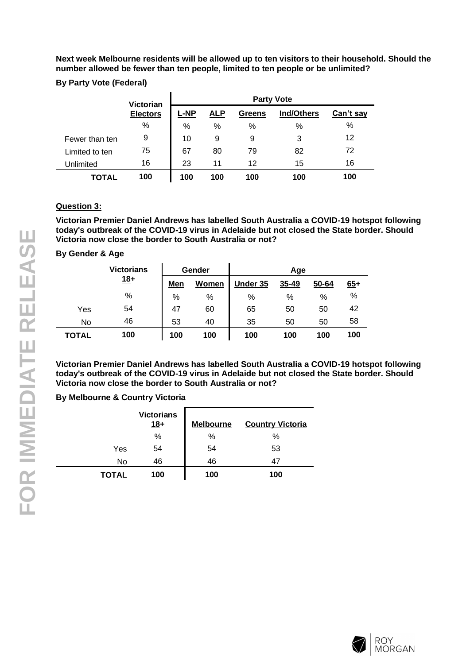**Next week Melbourne residents will be allowed up to ten visitors to their household. Should the number allowed be fewer than ten people, limited to ten people or be unlimited?**

## **By Party Vote (Federal)**

|                | <b>Victorian</b> | <b>Party Vote</b> |            |               |                   |           |
|----------------|------------------|-------------------|------------|---------------|-------------------|-----------|
|                | <b>Electors</b>  | <b>L-NP</b>       | <u>ALP</u> | <b>Greens</b> | <b>Ind/Others</b> | Can't say |
|                | $\%$             | %                 | %          | %             | %                 | %         |
| Fewer than ten | 9                | 10                | 9          | 9             | 3                 | 12        |
| Limited to ten | 75               | 67                | 80         | 79            | 82                | 72        |
| Unlimited      | 16               | 23                | 11         | 12            | 15                | 16        |
| TOTAL          | 100              | 100               | 100        | 100           | 100               | 100       |

## **Question 3:**

**Victorian Premier Daniel Andrews has labelled South Australia a COVID-19 hotspot following today's outbreak of the COVID-19 virus in Adelaide but not closed the State border. Should Victoria now close the border to South Australia or not?**

## **By Gender & Age**

|       | <b>Victorians</b> |     | Gender |          | Age   |       |       |
|-------|-------------------|-----|--------|----------|-------|-------|-------|
|       | $18+$             | Men | Women  | Under 35 | 35-49 | 50-64 | $65+$ |
|       | %                 | %   | %      | %        | %     | %     | %     |
| Yes   | 54                | 47  | 60     | 65       | 50    | 50    | 42    |
| No    | 46                | 53  | 40     | 35       | 50    | 50    | 58    |
| TOTAL | 100               | 100 | 100    | 100      | 100   | 100   | 100   |

**Victorian Premier Daniel Andrews has labelled South Australia a COVID-19 hotspot following today's outbreak of the COVID-19 virus in Adelaide but not closed the State border. Should Victoria now close the border to South Australia or not?**

## **By Melbourne & Country Victoria**

|              | <b>Victorians</b><br>$18+$ | <b>Melbourne</b> | <b>Country Victoria</b> |
|--------------|----------------------------|------------------|-------------------------|
|              | %                          | %                | %                       |
| Yes          | 54                         | 54               | 53                      |
| No           | 46                         | 46               | 47                      |
| <b>TOTAL</b> | 100                        | 100              | 100                     |